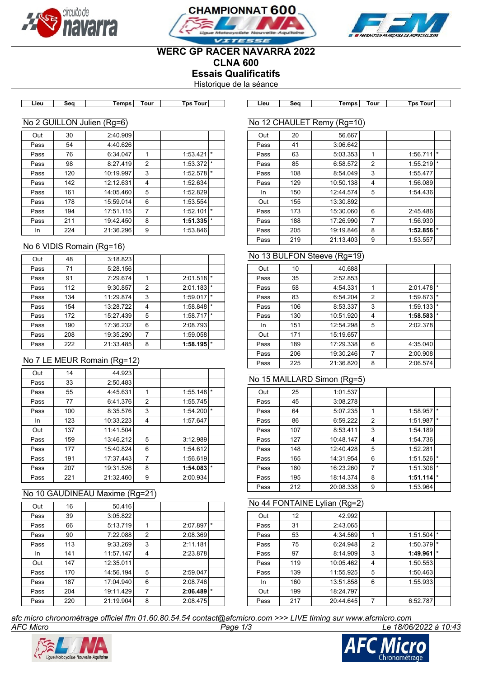





# **WERC GP RACER NAVARRA 2022**

**CLNA 600**

**Essais Qualificatifs**

Historique de la séance

**Lieu Seq Temps Tour Tps Tour Lieu Seq Temps Tour Tps Tour**

#### No 2 GUILLON Julien (Rg=6)

| Out  | 30  | 2:40.909  |   |          |         |
|------|-----|-----------|---|----------|---------|
| Pass | 54  | 4:40.626  |   |          |         |
| Pass | 76  | 6:34.047  |   | 1:53.421 | $\star$ |
| Pass | 98  | 8:27.419  | 2 | 1:53.372 | $\star$ |
| Pass | 120 | 10:19.997 | 3 | 1:52.578 | $\star$ |
| Pass | 142 | 12:12.631 | 4 | 1:52.634 |         |
| Pass | 161 | 14:05.460 | 5 | 1:52.829 |         |
| Pass | 178 | 15:59.014 | 6 | 1:53.554 |         |
| Pass | 194 | 17:51.115 | 7 | 1:52.101 | $\star$ |
| Pass | 211 | 19:42.450 | 8 | 1:51.335 | $\star$ |
| In   | 224 | 21:36.296 | 9 | 1:53.846 |         |

#### No 6 VIDIS Romain (Rg=16)

| Out  | 48  | 3:18.823  |                |              |          |
|------|-----|-----------|----------------|--------------|----------|
| Pass | 71  | 5:28.156  |                |              |          |
| Pass | 91  | 7:29.674  | 1              | 2:01.518     | $\star$  |
| Pass | 112 | 9:30.857  | $\overline{2}$ | 2:01.183     | $\star$  |
| Pass | 134 | 11:29.874 | 3              | $1:59.017$ * |          |
| Pass | 154 | 13:28.722 | 4              | 1:58.848     | $\star$  |
| Pass | 172 | 15:27.439 | 5              | $1:58.717$ * |          |
| Pass | 190 | 17:36.232 | 6              | 2:08.793     |          |
| Pass | 208 | 19:35.290 | 7              | 1:59.058     |          |
| Pass | 222 | 21:33.485 | 8              | 1:58.195     | $^\star$ |

## No 7 LE MEUR Romain (Rg=12)

| Out  | 14  | 44.923    |                |          |         |
|------|-----|-----------|----------------|----------|---------|
| Pass | 33  | 2:50.483  |                |          |         |
| Pass | 55  | 4:45.631  | 1              | 1:55.148 | $\star$ |
| Pass | 77  | 6:41.376  | $\overline{2}$ | 1:55.745 |         |
| Pass | 100 | 8:35.576  | 3              | 1:54.200 | $\star$ |
| In   | 123 | 10:33.223 | 4              | 1:57.647 |         |
| Out  | 137 | 11:41.504 |                |          |         |
| Pass | 159 | 13:46.212 | 5              | 3:12.989 |         |
| Pass | 177 | 15:40.824 | 6              | 1:54.612 |         |
| Pass | 191 | 17:37.443 | 7              | 1:56.619 |         |
| Pass | 207 | 19:31.526 | 8              | 1:54.083 | $\star$ |
| Pass | 221 | 21:32.460 | 9              | 2:00.934 |         |

#### No 10 GAUDINEAU Maxime (Rg=21)

| Out  | 16  | 50.416    |   |          |         |
|------|-----|-----------|---|----------|---------|
| Pass | 39  | 3:05.822  |   |          |         |
| Pass | 66  | 5:13.719  | 1 | 2:07.897 | $\star$ |
| Pass | 90  | 7:22.088  | 2 | 2:08.369 |         |
| Pass | 113 | 9:33.269  | 3 | 2:11.181 |         |
| In.  | 141 | 11:57.147 | 4 | 2:23.878 |         |
| Out  | 147 | 12:35.011 |   |          |         |
| Pass | 170 | 14:56.194 | 5 | 2:59.047 |         |
| Pass | 187 | 17:04.940 | 6 | 2:08.746 |         |
| Pass | 204 | 19:11.429 | 7 | 2:06.489 | $\star$ |
| Pass | 220 | 21:19.904 | 8 | 2:08.475 |         |

| Out  | 20  | 56.667    |   |          |         |
|------|-----|-----------|---|----------|---------|
| Pass | 41  | 3:06.642  |   |          |         |
| Pass | 63  | 5:03.353  | 1 | 1:56.711 | $\star$ |
| Pass | 85  | 6:58.572  | 2 | 1:55.219 | $\star$ |
| Pass | 108 | 8:54.049  | 3 | 1:55.477 |         |
| Pass | 129 | 10:50.138 | 4 | 1:56.089 |         |
| In.  | 150 | 12:44.574 | 5 | 1:54.436 |         |
| Out  | 155 | 13:30.892 |   |          |         |
| Pass | 173 | 15:30.060 | 6 | 2:45.486 |         |
| Pass | 188 | 17:26.990 | 7 | 1:56.930 |         |
| Pass | 205 | 19:19.846 | 8 | 1:52.856 | $\star$ |
| Pass | 219 | 21:13.403 | 9 | 1:53.557 |         |

#### No 13 BULFON Steeve (Rg=19)

No 12 CHAULET Remy (Rg=10)

| Out  | 10  | 40.688    |                |          |         |
|------|-----|-----------|----------------|----------|---------|
| Pass | 35  | 2:52.853  |                |          |         |
| Pass | 58  | 4:54.331  | 1              | 2:01.478 | $\star$ |
| Pass | 83  | 6:54.204  | 2              | 1:59.873 | $\star$ |
| Pass | 106 | 8:53.337  | 3              | 1:59.133 | $\star$ |
| Pass | 130 | 10:51.920 | 4              | 1:58.583 | $\star$ |
| In   | 151 | 12:54.298 | 5              | 2:02.378 |         |
| Out  | 171 | 15:19.657 |                |          |         |
| Pass | 189 | 17:29.338 | 6              | 4:35.040 |         |
| Pass | 206 | 19:30.246 | $\overline{7}$ | 2:00.908 |         |
| Pass | 225 | 21:36.820 | 8              | 2:06.574 |         |

## No 15 MAILLARD Simon (Rg=5)

| Out  | 25  | 1:01.537  |                |          |         |
|------|-----|-----------|----------------|----------|---------|
| Pass | 45  | 3:08.278  |                |          |         |
| Pass | 64  | 5:07.235  | 1              | 1:58.957 | $\star$ |
| Pass | 86  | 6:59.222  | 2              | 1:51.987 | $\star$ |
| Pass | 107 | 8:53.411  | 3              | 1:54.189 |         |
| Pass | 127 | 10:48.147 | 4              | 1:54.736 |         |
| Pass | 148 | 12:40.428 | 5              | 1:52.281 |         |
| Pass | 165 | 14:31.954 | 6              | 1:51.526 | $\star$ |
| Pass | 180 | 16:23.260 | $\overline{7}$ | 1:51.306 | $\star$ |
| Pass | 195 | 18:14.374 | 8              | 1:51.114 | $\star$ |
| Pass | 212 | 20:08.338 | 9              | 1:53.964 |         |

#### No 44 FONTAINE Lylian (Rg=2)

| Out  | 12  | 42.992    |   |          |         |
|------|-----|-----------|---|----------|---------|
| Pass | 31  | 2:43.065  |   |          |         |
| Pass | 53  | 4:34.569  |   | 1:51.504 |         |
| Pass | 75  | 6:24.948  | 2 | 1:50.379 | $\star$ |
| Pass | 97  | 8:14.909  | 3 | 1:49.961 | $\star$ |
| Pass | 119 | 10:05.462 | 4 | 1:50.553 |         |
| Pass | 139 | 11:55.925 | 5 | 1:50.463 |         |
| In   | 160 | 13:51.858 | 6 | 1:55.933 |         |
| Out  | 199 | 18:24.797 |   |          |         |
| Pass | 217 | 20:44.645 | 7 | 6:52.787 |         |

*AFC Micro Page 1/3 Le 18/06/2022 à 10:43 afc micro chronométrage officiel ffm 01.60.80.54.54 contact@afcmicro.com >>> LIVE timing sur www.afcmicro.com*



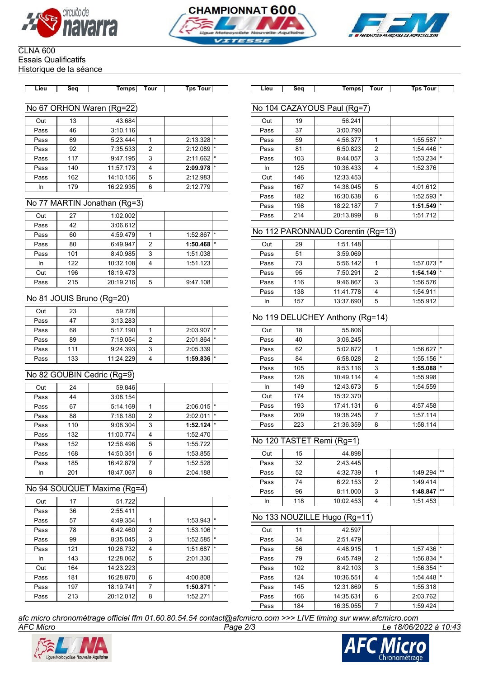





#### CLNA 600 Essais Qualificatifs

Historique de la séance

| .ieu | Sea | Temps | Tour | Tps<br>Tour |
|------|-----|-------|------|-------------|

## No 67 ORHON Waren (Rg=22)

| Out  | 13  | 43.684    |                |          |         |
|------|-----|-----------|----------------|----------|---------|
| Pass | 46  | 3:10.116  |                |          |         |
| Pass | 69  | 5:23.444  |                | 2:13.328 |         |
| Pass | 92  | 7:35.533  | $\overline{2}$ | 2:12.089 | $\star$ |
| Pass | 117 | 9:47.195  | 3              | 2:11.662 | $\star$ |
| Pass | 140 | 11:57.173 | 4              | 2:09.978 | $\star$ |
| Pass | 162 | 14:10.156 | 5              | 2:12.983 |         |
| In   | 179 | 16:22.935 | 6              | 2:12.779 |         |

### No 77 MARTIN Jonathan (Rg=3)

| Out  | 27  | 1:02.002  |   |          |         |
|------|-----|-----------|---|----------|---------|
| Pass | 42  | 3:06.612  |   |          |         |
| Pass | 60  | 4:59.479  |   | 1:52.867 | $\star$ |
| Pass | 80  | 6:49.947  | 2 | 1:50.468 | $\star$ |
| Pass | 101 | 8:40.985  | 3 | 1:51.038 |         |
| In   | 122 | 10:32.108 |   | 1:51.123 |         |
| Out  | 196 | 18:19.473 |   |          |         |
| Pass | 215 | 20:19.216 | 5 | 9:47.108 |         |

## No 81 JOUIS Bruno (Rg=20)

| Out  | 23  | 59.728    |   |                |                |
|------|-----|-----------|---|----------------|----------------|
| Pass |     | 3:13.283  |   |                |                |
| Pass | 68  | 5:17.190  |   | 2:03.907       | $\mathbf{I}$ * |
| Pass | 89  | 7:19.054  | 2 | $2:01.864$ *   |                |
| Pass | 111 | 9:24.393  | 3 | 2:05.339       |                |
| Pass | 133 | 11:24.229 |   | $1:59.836$ $*$ |                |

## No 82 GOUBIN Cedric (Rg=9)

| Out  | 24  | 59.846    |   |          |         |
|------|-----|-----------|---|----------|---------|
| Pass | 44  | 3:08.154  |   |          |         |
| Pass | 67  | 5:14.169  |   | 2:06.015 | *       |
| Pass | 88  | 7:16.180  | 2 | 2:02.011 | $\star$ |
| Pass | 110 | 9:08.304  | 3 | 1:52.124 | $\star$ |
| Pass | 132 | 11:00.774 | 4 | 1:52.470 |         |
| Pass | 152 | 12:56.496 | 5 | 1:55.722 |         |
| Pass | 168 | 14:50.351 | 6 | 1:53.855 |         |
| Pass | 185 | 16:42.879 | 7 | 1:52.528 |         |
| In   | 201 | 18:47.067 | 8 | 2:04.188 |         |

#### No 94 SOUQUET Maxime (Rg=4)

| Out  | 17  | 51.722    |                |          |         |
|------|-----|-----------|----------------|----------|---------|
| Pass | 36  | 2:55.411  |                |          |         |
| Pass | 57  | 4:49.354  |                | 1:53.943 | $\star$ |
| Pass | 78  | 6:42.460  | 2              | 1:53.106 | $\star$ |
| Pass | 99  | 8:35.045  | 3              | 1:52.585 | $\star$ |
| Pass | 121 | 10:26.732 | 4              | 1:51.687 | $\star$ |
| In   | 143 | 12:28.062 | 5              | 2:01.330 |         |
| Out  | 164 | 14:23.223 |                |          |         |
| Pass | 181 | 16:28.870 | 6              | 4:00.808 |         |
| Pass | 197 | 18:19.741 | $\overline{7}$ | 1:50.871 | $\star$ |
| Pass | 213 | 20:12.012 | 8              | 1:52.271 |         |
|      |     |           |                |          |         |

**Lieu Seq Temps Tour Tps Tour Lieu Seq Temps Tour Tps Tour**

# No 104 CAZAYOUS Paul (Rg=7)

| Out  | 19  | 56.241    |                |          |         |
|------|-----|-----------|----------------|----------|---------|
| Pass | 37  | 3:00.790  |                |          |         |
| Pass | 59  | 4:56.377  |                | 1:55.587 | $\star$ |
| Pass | 81  | 6:50.823  | 2              | 1:54.446 | $\star$ |
| Pass | 103 | 8:44.057  | 3              | 1:53.234 | $\star$ |
| In   | 125 | 10:36.433 | $\overline{4}$ | 1:52.376 |         |
| Out  | 146 | 12:33.453 |                |          |         |
| Pass | 167 | 14:38.045 | 5              | 4:01.612 |         |
| Pass | 182 | 16:30.638 | 6              | 1:52.593 | $\star$ |
| Pass | 198 | 18:22.187 | 7              | 1:51.549 | $\star$ |
| Pass | 214 | 20:13.899 | 8              | 1:51.712 |         |

## No 112 PARONNAUD Corentin (Rg=13)

| Out  | 29  | 1:51.148  |                |          |         |
|------|-----|-----------|----------------|----------|---------|
| Pass | 51  | 3:59.069  |                |          |         |
| Pass | 73  | 5:56.142  |                | 1:57.073 | $\star$ |
| Pass | 95  | 7:50.291  | $\overline{2}$ | 1:54.149 | $\star$ |
| Pass | 116 | 9:46.867  | 3              | 1:56.576 |         |
| Pass | 138 | 11:41.778 |                | 1:54.911 |         |
| In   | 157 | 13:37.690 | 5              | 1:55.912 |         |

### No 119 DELUCHEY Anthony (Rg=14)

| Out  | 18  | 55.806    |                |          |         |
|------|-----|-----------|----------------|----------|---------|
| Pass | 40  | 3:06.245  |                |          |         |
| Pass | 62  | 5:02.872  | 1              | 1:56.627 | $\star$ |
| Pass | 84  | 6:58.028  | $\overline{2}$ | 1:55.156 | $\star$ |
| Pass | 105 | 8:53.116  | 3              | 1:55.088 | $\star$ |
| Pass | 128 | 10:49.114 | 4              | 1:55.998 |         |
| In   | 149 | 12:43.673 | 5              | 1:54.559 |         |
| Out  | 174 | 15:32.370 |                |          |         |
| Pass | 193 | 17:41.131 | 6              | 4:57.458 |         |
| Pass | 209 | 19:38.245 | 7              | 1:57.114 |         |
| Pass | 223 | 21:36.359 | 8              | 1:58.114 |         |

#### No 120 TASTET Remi (Rg=1)

| Out  | 15  | 44.898    |   |          |       |
|------|-----|-----------|---|----------|-------|
| Pass | 32  | 2:43.445  |   |          |       |
| Pass | 52  | 4:32.739  |   | 1:49.294 | $***$ |
| Pass | 74  | 6:22.153  | 2 | 1:49.414 |       |
| Pass | 96  | 8:11.000  | 3 | 1:48.847 | $**$  |
| In   | 118 | 10:02.453 |   | 1:51.453 |       |

## No 133 NOUZILLE Hugo (Rg=11)

| Out  | 11  | 42.597    |   |          |         |
|------|-----|-----------|---|----------|---------|
| Pass | 34  | 2:51.479  |   |          |         |
| Pass | 56  | 4:48.915  |   | 1:57.436 |         |
| Pass | 79  | 6:45.749  | 2 | 1:56.834 |         |
| Pass | 102 | 8:42.103  | 3 | 1:56.354 | $\star$ |
| Pass | 124 | 10:36.551 | 4 | 1:54.448 |         |
| Pass | 145 | 12:31.869 | 5 | 1:55.318 |         |
| Pass | 166 | 14:35.631 | 6 | 2:03.762 |         |
| Pass | 184 | 16:35.055 |   | 1:59.424 |         |

*AFC Micro Page 2/3 Le 18/06/2022 à 10:43 afc micro chronométrage officiel ffm 01.60.80.54.54 contact@afcmicro.com >>> LIVE timing sur www.afcmicro.com*